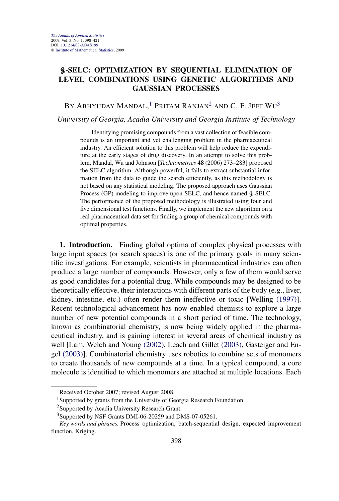# G**-SELC: OPTIMIZATION BY SEQUENTIAL ELIMINATION OF LEVEL COMBINATIONS USING GENETIC ALGORITHMS AND GAUSSIAN PROCESSES**

By Abhyuday Mandal, $^1$  Pritam Ranjan $^2$  and C. F. Jeff Wu $^3$ 

*University of Georgia, Acadia University and Georgia Institute of Technology*

Identifying promising compounds from a vast collection of feasible compounds is an important and yet challenging problem in the pharmaceutical industry. An efficient solution to this problem will help reduce the expenditure at the early stages of drug discovery. In an attempt to solve this problem, Mandal, Wu and Johnson [*Technometrics* **48** (2006) 273–283] proposed the SELC algorithm. Although powerful, it fails to extract substantial information from the data to guide the search efficiently, as this methodology is not based on any statistical modeling. The proposed approach uses Gaussian Process (GP) modeling to improve upon SELC, and hence named  $\mathcal{G}\text{-}SELC$ . The performance of the proposed methodology is illustrated using four and five dimensional test functions. Finally, we implement the new algorithm on a real pharmaceutical data set for finding a group of chemical compounds with optimal properties.

**1. Introduction.** Finding global optima of complex physical processes with large input spaces (or search spaces) is one of the primary goals in many scientific investigations. For example, scientists in pharmaceutical industries can often produce a large number of compounds. However, only a few of them would serve as good candidates for a potential drug. While compounds may be designed to be theoretically effective, their interactions with different parts of the body (e.g., liver, kidney, intestine, etc.) often render them ineffective or toxic [Welling (1997)]. Recent technological advancement has now enabled chemists to explore a large number of new potential compounds in a short period of time. The technology, known as combinatorial chemistry, is now being widely applied in the pharmaceutical industry, and is gaining interest in several areas of chemical industry as well [Lam, Welch and Young (2002), Leach and Gillet (2003), Gasteiger and Engel (2003)]. Combinatorial chemistry uses robotics to combine sets of monomers to create thousands of new compounds at a time. In a typical compound, a core molecule is identified to which monomers are attached at multiple locations. Each

Received October 2007; revised August 2008.

<sup>&</sup>lt;sup>1</sup>Supported by grants from the University of Georgia Research Foundation.

<sup>2</sup>Supported by Acadia University Research Grant.

<sup>&</sup>lt;sup>3</sup>Supported by NSF Grants DMI-06-20259 and DMS-07-05261.

*Key words and phrases.* Process optimization, batch-sequential design, expected improvement function, Kriging.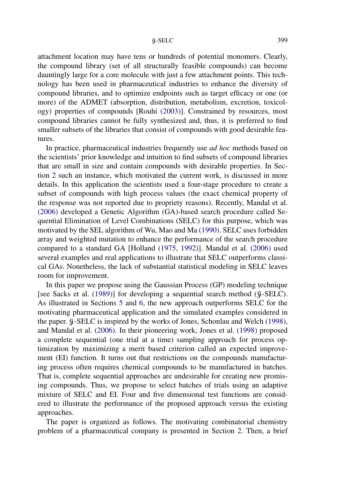## G-SELC 399

attachment location may have tens or hundreds of potential monomers. Clearly, the compound library (set of all structurally feasible compounds) can become dauntingly large for a core molecule with just a few attachment points. This technology has been used in pharmaceutical industries to enhance the diversity of compound libraries, and to optimize endpoints such as target efficacy or one (or more) of the ADMET (absorption, distribution, metabolism, excretion, toxicology) properties of compounds [Rouhi (2003)]. Constrained by resources, most compound libraries cannot be fully synthesized and, thus, it is preferred to find smaller subsets of the libraries that consist of compounds with good desirable features.

In practice, pharmaceutical industries frequently use *ad hoc* methods based on the scientists' prior knowledge and intuition to find subsets of compound libraries that are small in size and contain compounds with desirable properties. In Section 2 such an instance, which motivated the current work, is discussed in more details. In this application the scientists used a four-stage procedure to create a subset of compounds with high process values (the exact chemical property of the response was not reported due to propriety reasons). Recently, Mandal et al. (2006) developed a Genetic Algorithm (GA)-based search procedure called Sequential Elimination of Level Combinations (SELC) for this purpose, which was motivated by the SEL algorithm of Wu, Mao and Ma (1990). SELC uses forbidden array and weighted mutation to enhance the performance of the search procedure compared to a standard GA [Holland (1975, 1992)]. Mandal et al. (2006) used several examples and real applications to illustrate that SELC outperforms classical GAs. Nonetheless, the lack of substantial statistical modeling in SELC leaves room for improvement.

In this paper we propose using the Gaussian Process (GP) modeling technique [see Sacks et al. (1989)] for developing a sequential search method (G-SELC). As illustrated in Sections 5 and 6, the new approach outperforms SELC for the motivating pharmaceutical application and the simulated examples considered in the paper. G-SELC is inspired by the works of Jones, Schonlau and Welch (1998), and Mandal et al. (2006). In their pioneering work, Jones et al. (1998) proposed a complete sequential (one trial at a time) sampling approach for process optimization by maximizing a merit based criterion called an expected improvement (EI) function. It turns out that restrictions on the compounds manufacturing process often requires chemical compounds to be manufactured in batches. That is, complete sequential approaches are undesirable for creating new promising compounds. Thus, we propose to select batches of trials using an adaptive mixture of SELC and EI. Four and five dimensional test functions are considered to illustrate the performance of the proposed approach versus the existing approaches.

The paper is organized as follows. The motivating combinatorial chemistry problem of a pharmaceutical company is presented in Section 2. Then, a brief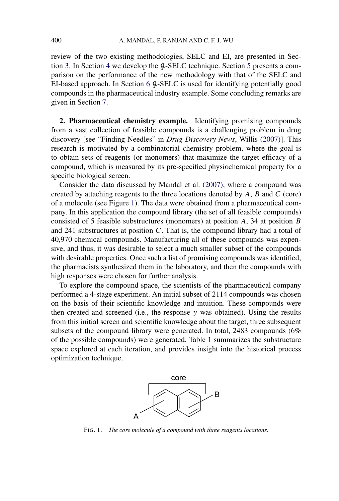review of the two existing methodologies, SELC and EI, are presented in Section 3. In Section 4 we develop the  $\frac{6}{5}$ -SELC technique. Section 5 presents a comparison on the performance of the new methodology with that of the SELC and EI-based approach. In Section 6  $\beta$ -SELC is used for identifying potentially good compounds in the pharmaceutical industry example. Some concluding remarks are given in Section 7.

**2. Pharmaceutical chemistry example.** Identifying promising compounds from a vast collection of feasible compounds is a challenging problem in drug discovery [see "Finding Needles" in *Drug Discovery News*, Willis (2007)]. This research is motivated by a combinatorial chemistry problem, where the goal is to obtain sets of reagents (or monomers) that maximize the target efficacy of a compound, which is measured by its pre-specified physiochemical property for a specific biological screen.

Consider the data discussed by Mandal et al. (2007), where a compound was created by attaching reagents to the three locations denoted by  $A$ ,  $B$  and  $C$  (core) of a molecule (see Figure 1). The data were obtained from a pharmaceutical company. In this application the compound library (the set of all feasible compounds) consisted of 5 feasible substructures (monomers) at position A, 34 at position B and 241 substructures at position  $C$ . That is, the compound library had a total of 40,970 chemical compounds. Manufacturing all of these compounds was expensive, and thus, it was desirable to select a much smaller subset of the compounds with desirable properties. Once such a list of promising compounds was identified, the pharmacists synthesized them in the laboratory, and then the compounds with high responses were chosen for further analysis.

To explore the compound space, the scientists of the pharmaceutical company performed a 4-stage experiment. An initial subset of 2114 compounds was chosen on the basis of their scientific knowledge and intuition. These compounds were then created and screened (i.e., the response y was obtained). Using the results from this initial screen and scientific knowledge about the target, three subsequent subsets of the compound library were generated. In total, 2483 compounds (6% of the possible compounds) were generated. Table 1 summarizes the substructure space explored at each iteration, and provides insight into the historical process optimization technique.



FIG. 1. *The core molecule of a compound with three reagents locations*.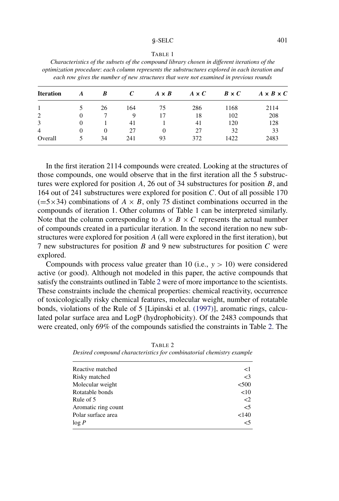#### $\text{q-SELC}$  401

#### TABLE 1

*Characteristics of the subsets of the compound library chosen in different iterations of the optimization procedure*: *each column represents the substructures explored in each iteration and each row gives the number of new structures that were not examined in previous rounds*

| <b>Iteration</b> | A        | B        |     | $A \times B$ | $A \times C$ | $B \times C$ | $A \times B \times C$ |
|------------------|----------|----------|-----|--------------|--------------|--------------|-----------------------|
|                  |          | 26       | 164 | 75           | 286          | 1168         | 2114                  |
| 2                | 0        |          | 9   | 17           | 18           | 102          | 208                   |
| 3                | $\theta$ |          | 41  |              | 41           | 120          | 128                   |
| $\overline{4}$   | 0        | $\Omega$ | 27  | $\theta$     | 27           | 32           | 33                    |
| Overall          |          | 34       | 241 | 93           | 372          | 1422         | 2483                  |

In the first iteration 2114 compounds were created. Looking at the structures of those compounds, one would observe that in the first iteration all the 5 substructures were explored for position  $A$ , 26 out of 34 substructures for position  $B$ , and 164 out of 241 substructures were explored for position  $C$ . Out of all possible 170  $(=5\times34)$  combinations of  $A \times B$ , only 75 distinct combinations occurred in the compounds of iteration 1. Other columns of Table 1 can be interpreted similarly. Note that the column corresponding to  $A \times B \times C$  represents the actual number of compounds created in a particular iteration. In the second iteration no new substructures were explored for position A (all were explored in the first iteration), but 7 new substructures for position  $B$  and 9 new substructures for position  $C$  were explored.

Compounds with process value greater than 10 (i.e.,  $y > 10$ ) were considered active (or good). Although not modeled in this paper, the active compounds that satisfy the constraints outlined in Table 2 were of more importance to the scientists. These constraints include the chemical properties: chemical reactivity, occurrence of toxicologically risky chemical features, molecular weight, number of rotatable bonds, violations of the Rule of 5 [Lipinski et al. (1997)], aromatic rings, calculated polar surface area and LogP (hydrophobicity). Of the 2483 compounds that were created, only 69% of the compounds satisfied the constraints in Table 2. The

| Reactive matched    | <1       |
|---------------------|----------|
| Risky matched       | $\leq$ 3 |
| Molecular weight    | < 500    |
| Rotatable bonds     | <10      |
| Rule of 5           | $\leq$ 2 |
| Aromatic ring count | $<$ 5    |
| Polar surface area  | 140      |
| log P               | <5       |

TABLE 2 *Desired compound characteristics for combinatorial chemistry example*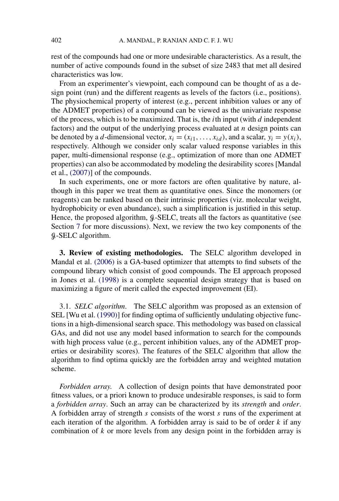rest of the compounds had one or more undesirable characteristics. As a result, the number of active compounds found in the subset of size 2483 that met all desired characteristics was low.

From an experimenter's viewpoint, each compound can be thought of as a design point (run) and the different reagents as levels of the factors (i.e., positions). The physiochemical property of interest (e.g., percent inhibition values or any of the ADMET properties) of a compound can be viewed as the univariate response of the process, which is to be maximized. That is, the *i*th input (with  $d$  independent factors) and the output of the underlying process evaluated at  $n$  design points can be denoted by a d-dimensional vector,  $x_i = (x_{i1}, \ldots, x_{id})$ , and a scalar,  $y_i = y(x_i)$ , respectively. Although we consider only scalar valued response variables in this paper, multi-dimensional response (e.g., optimization of more than one ADMET properties) can also be accommodated by modeling the desirability scores [Mandal et al., (2007)] of the compounds.

In such experiments, one or more factors are often qualitative by nature, although in this paper we treat them as quantitative ones. Since the monomers (or reagents) can be ranked based on their intrinsic properties (viz. molecular weight, hydrophobicity or even abundance), such a simplification is justified in this setup. Hence, the proposed algorithm,  $\mathcal{G}$ -SELC, treats all the factors as quantitative (see Section 7 for more discussions). Next, we review the two key components of the G-SELC algorithm.

**3. Review of existing methodologies.** The SELC algorithm developed in Mandal et al. (2006) is a GA-based optimizer that attempts to find subsets of the compound library which consist of good compounds. The EI approach proposed in Jones et al. (1998) is a complete sequential design strategy that is based on maximizing a figure of merit called the expected improvement (EI).

3.1. *SELC algorithm*. The SELC algorithm was proposed as an extension of SEL [Wu et al. (1990)] for finding optima of sufficiently undulating objective functions in a high-dimensional search space. This methodology was based on classical GAs, and did not use any model based information to search for the compounds with high process value (e.g., percent inhibition values, any of the ADMET properties or desirability scores). The features of the SELC algorithm that allow the algorithm to find optima quickly are the forbidden array and weighted mutation scheme.

*Forbidden array*. A collection of design points that have demonstrated poor fitness values, or a priori known to produce undesirable responses, is said to form a *forbidden array*. Such an array can be characterized by its *strength* and *order*. A forbidden array of strength s consists of the worst s runs of the experiment at each iteration of the algorithm. A forbidden array is said to be of order  $k$  if any combination of  $k$  or more levels from any design point in the forbidden array is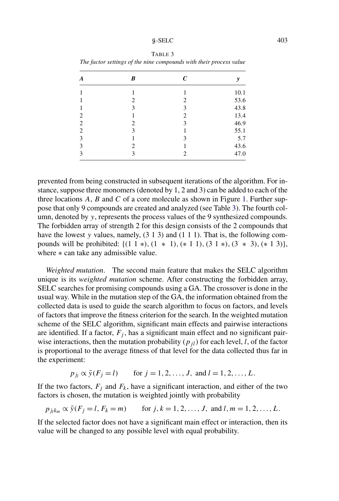#### $g-\text{SELECT}$  403

#### TABLE 3

| A              | B | $\boldsymbol{C}$ | y    |
|----------------|---|------------------|------|
|                |   |                  | 10.1 |
|                | 2 | 2                | 53.6 |
|                | 3 | 3                | 43.8 |
| 2              |   | $\overline{c}$   | 13.4 |
| $\overline{2}$ | 2 | 3                | 46.9 |
| $\overline{2}$ | 3 |                  | 55.1 |
| 3              |   | 3                | 5.7  |
| 3              | 2 |                  | 43.6 |
| 3              | 3 | 2                | 47.0 |

*The factor settings of the nine compounds with their process value*

prevented from being constructed in subsequent iterations of the algorithm. For instance, suppose three monomers (denoted by 1, 2 and 3) can be added to each of the three locations  $A$ ,  $B$  and  $C$  of a core molecule as shown in Figure 1. Further suppose that only 9 compounds are created and analyzed (see Table 3). The fourth column, denoted by y, represents the process values of the 9 synthesized compounds. The forbidden array of strength 2 for this design consists of the 2 compounds that have the lowest y values, namely,  $(3 1 3)$  and  $(1 1 1)$ . That is, the following compounds will be prohibited:  $\{(1\ 1\ *), (1\ *1), (*1\ 1), (3\ 1\ *), (3\ *3), (*1\ 3)\},\$ where  $*$  can take any admissible value.

*Weighted mutation*. The second main feature that makes the SELC algorithm unique is its *weighted mutation* scheme. After constructing the forbidden array, SELC searches for promising compounds using a GA. The crossover is done in the usual way. While in the mutation step of the GA, the information obtained from the collected data is used to guide the search algorithm to focus on factors, and levels of factors that improve the fitness criterion for the search. In the weighted mutation scheme of the SELC algorithm, significant main effects and pairwise interactions are identified. If a factor,  $F_i$ , has a significant main effect and no significant pairwise interactions, then the mutation probability  $(p_{il})$  for each level, l, of the factor is proportional to the average fitness of that level for the data collected thus far in the experiment:

$$
p_{j_l} \propto \bar{y}(F_j = l)
$$
 for  $j = 1, 2, ..., J$ , and  $l = 1, 2, ..., L$ .

If the two factors,  $F_i$  and  $F_k$ , have a significant interaction, and either of the two factors is chosen, the mutation is weighted jointly with probability

$$
p_{j_lk_m} \propto \bar{y}(F_j = l, F_k = m)
$$
 for  $j, k = 1, 2, ..., J$ , and  $l, m = 1, 2, ..., L$ .

If the selected factor does not have a significant main effect or interaction, then its value will be changed to any possible level with equal probability.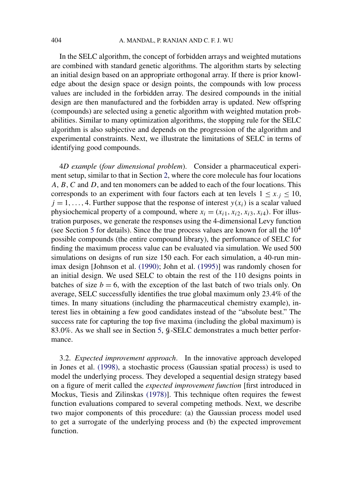In the SELC algorithm, the concept of forbidden arrays and weighted mutations are combined with standard genetic algorithms. The algorithm starts by selecting an initial design based on an appropriate orthogonal array. If there is prior knowledge about the design space or design points, the compounds with low process values are included in the forbidden array. The desired compounds in the initial design are then manufactured and the forbidden array is updated. New offspring (compounds) are selected using a genetic algorithm with weighted mutation probabilities. Similar to many optimization algorithms, the stopping rule for the SELC algorithm is also subjective and depends on the progression of the algorithm and experimental constraints. Next, we illustrate the limitations of SELC in terms of identifying good compounds.

4*D example* (*four dimensional problem*). Consider a pharmaceutical experiment setup, similar to that in Section 2, where the core molecule has four locations A, B, C and D, and ten monomers can be added to each of the four locations. This corresponds to an experiment with four factors each at ten levels  $1 \le x, j \le 10$ ,  $j = 1, \ldots, 4$ . Further suppose that the response of interest  $y(x_i)$  is a scalar valued physiochemical property of a compound, where  $x_i = (x_{i1}, x_{i2}, x_{i3}, x_{i4})$ . For illustration purposes, we generate the responses using the 4-dimensional Levy function (see Section 5 for details). Since the true process values are known for all the  $10<sup>4</sup>$ possible compounds (the entire compound library), the performance of SELC for finding the maximum process value can be evaluated via simulation. We used 500 simulations on designs of run size 150 each. For each simulation, a 40-run minimax design [Johnson et al. (1990); John et al. (1995)] was randomly chosen for an initial design. We used SELC to obtain the rest of the 110 designs points in batches of size  $b = 6$ , with the exception of the last batch of two trials only. On average, SELC successfully identifies the true global maximum only 23.4% of the times. In many situations (including the pharmaceutical chemistry example), interest lies in obtaining a few good candidates instead of the "absolute best." The success rate for capturing the top five maxima (including the global maximum) is 83.0%. As we shall see in Section 5,  $\beta$ -SELC demonstrates a much better performance.

3.2. *Expected improvement approach*. In the innovative approach developed in Jones et al. (1998), a stochastic process (Gaussian spatial process) is used to model the underlying process. They developed a sequential design strategy based on a figure of merit called the *expected improvement function* [first introduced in Mockus, Tiesis and Zilinskas (1978)]. This technique often requires the fewest function evaluations compared to several competing methods. Next, we describe two major components of this procedure: (a) the Gaussian process model used to get a surrogate of the underlying process and (b) the expected improvement function.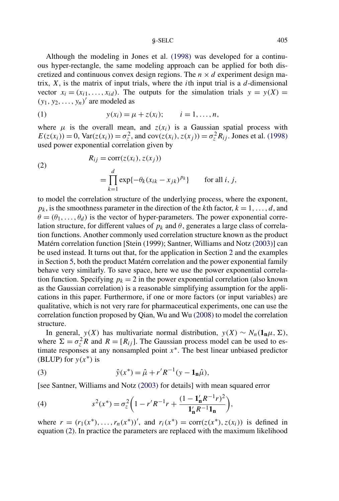Although the modeling in Jones et al. (1998) was developed for a continuous hyper-rectangle, the same modeling approach can be applied for both discretized and continuous convex design regions. The  $n \times d$  experiment design matrix,  $X$ , is the matrix of input trials, where the *i*th input trial is a  $d$ -dimensional vector  $x_i = (x_{i1}, \ldots, x_{id})$ . The outputs for the simulation trials  $y = y(X) =$  $(y_1, y_2, \ldots, y_n)'$  are modeled as

(1) 
$$
y(x_i) = \mu + z(x_i);
$$
  $i = 1,...,n,$ 

where  $\mu$  is the overall mean, and  $z(x_i)$  is a Gaussian spatial process with  $E(z(x_i)) = 0$ , Var $(z(x_i)) = \sigma_z^2$ , and cov $(z(x_i), z(x_j)) = \sigma_z^2 R_{ij}$ . Jones et al. (1998) used power exponential correlation given by

(2)  
\n
$$
R_{ij} = \text{corr}(z(x_i), z(x_j))
$$
\n
$$
= \prod_{k=1}^{d} \exp\{-\theta_k(x_{ik} - x_{jk})^{pk}\} \quad \text{for all } i, j,
$$

to model the correlation structure of the underlying process, where the exponent,  $p_k$ , is the smoothness parameter in the direction of the kth factor,  $k = 1, \ldots, d$ , and  $\theta = (\theta_1, \dots, \theta_d)$  is the vector of hyper-parameters. The power exponential correlation structure, for different values of  $p_k$  and  $\theta$ , generates a large class of correlation functions. Another commonly used correlation structure known as the product Matérn correlation function [Stein (1999); Santner, Williams and Notz (2003)] can be used instead. It turns out that, for the application in Section 2 and the examples in Section 5, both the product Matérn correlation and the power exponential family behave very similarly. To save space, here we use the power exponential correlation function. Specifying  $p_k = 2$  in the power exponential correlation (also known as the Gaussian correlation) is a reasonable simplifying assumption for the applications in this paper. Furthermore, if one or more factors (or input variables) are qualitative, which is not very rare for pharmaceutical experiments, one can use the correlation function proposed by Qian, Wu and Wu (2008) to model the correlation structure.

In general, *y*(*X*) has multivariate normal distribution, *y*(*X*) ∼  $N_n(1_n\mu,\Sigma)$ , where  $\Sigma = \sigma_z^2 R$  and  $R = [R_{ij}]$ . The Gaussian process model can be used to estimate responses at any nonsampled point  $x^*$ . The best linear unbiased predictor (BLUP) for  $y(x^*)$  is

(3) 
$$
\hat{y}(x^*) = \hat{\mu} + r'R^{-1}(y - \mathbf{1}_n\hat{\mu}),
$$

[see Santner, Williams and Notz (2003) for details] with mean squared error

(4) 
$$
s^{2}(x^{*}) = \sigma_{z}^{2} \left( 1 - r^{'} R^{-1} r + \frac{(1 - \mathbf{1}'_{n} R^{-1} r)^{2}}{\mathbf{1}'_{n} R^{-1} \mathbf{1}_{n}} \right),
$$

where  $r = (r_1(x^*), ..., r_n(x^*))'$ , and  $r_i(x^*) = \text{corr}(z(x^*), z(x_i))$  is defined in equation (2). In practice the parameters are replaced with the maximum likelihood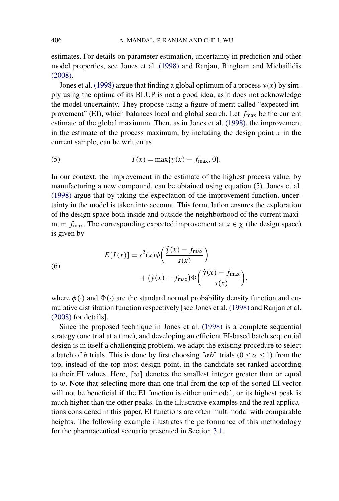estimates. For details on parameter estimation, uncertainty in prediction and other model properties, see Jones et al. (1998) and Ranjan, Bingham and Michailidis (2008).

Jones et al. (1998) argue that finding a global optimum of a process  $y(x)$  by simply using the optima of its BLUP is not a good idea, as it does not acknowledge the model uncertainty. They propose using a figure of merit called "expected improvement" (EI), which balances local and global search. Let  $f_{\text{max}}$  be the current estimate of the global maximum. Then, as in Jones et al. (1998), the improvement in the estimate of the process maximum, by including the design point  $x$  in the current sample, can be written as

(5) 
$$
I(x) = \max\{y(x) - f_{\max}, 0\}.
$$

In our context, the improvement in the estimate of the highest process value, by manufacturing a new compound, can be obtained using equation (5). Jones et al. (1998) argue that by taking the expectation of the improvement function, uncertainty in the model is taken into account. This formulation ensures the exploration of the design space both inside and outside the neighborhood of the current maximum  $f_{\text{max}}$ . The corresponding expected improvement at  $x \in \chi$  (the design space) is given by

(6)  

$$
E[I(x)] = s^{2}(x)\phi\left(\frac{\hat{y}(x) - f_{\text{max}}}{s(x)}\right) + (\hat{y}(x) - f_{\text{max}})\Phi\left(\frac{\hat{y}(x) - f_{\text{max}}}{s(x)}\right),
$$

where  $\phi(\cdot)$  and  $\Phi(\cdot)$  are the standard normal probability density function and cumulative distribution function respectively [see Jones et al. (1998) and Ranjan et al. (2008) for details].

Since the proposed technique in Jones et al. (1998) is a complete sequential strategy (one trial at a time), and developing an efficient EI-based batch sequential design is in itself a challenging problem, we adapt the existing procedure to select a batch of b trials. This is done by first choosing  $\lceil \alpha b \rceil$  trials  $(0 \le \alpha \le 1)$  from the top, instead of the top most design point, in the candidate set ranked according to their EI values. Here,  $[w]$  denotes the smallest integer greater than or equal to w. Note that selecting more than one trial from the top of the sorted EI vector will not be beneficial if the EI function is either unimodal, or its highest peak is much higher than the other peaks. In the illustrative examples and the real applications considered in this paper, EI functions are often multimodal with comparable heights. The following example illustrates the performance of this methodology for the pharmaceutical scenario presented in Section 3.1.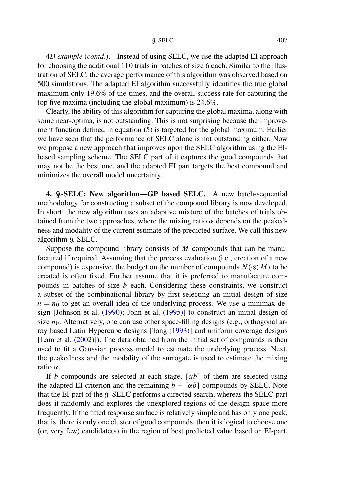4*D example* (*contd*.). Instead of using SELC, we use the adapted EI approach for choosing the additional 110 trials in batches of size 6 each. Similar to the illustration of SELC, the average performance of this algorithm was observed based on 500 simulations. The adapted EI algorithm successfully identifies the true global maximum only 19.6% of the times, and the overall success rate for capturing the top five maxima (including the global maximum) is 24.6%.

Clearly, the ability of this algorithm for capturing the global maxima, along with some near-optima, is not outstanding. This is not surprising because the improvement function defined in equation (5) is targeted for the global maximum. Earlier we have seen that the performance of SELC alone is not outstanding either. Now we propose a new approach that improves upon the SELC algorithm using the EIbased sampling scheme. The SELC part of it captures the good compounds that may not be the best one, and the adapted EI part targets the best compound and minimizes the overall model uncertainty.

**4.** G**-SELC: New algorithm—GP based SELC.** A new batch-sequential methodology for constructing a subset of the compound library is now developed. In short, the new algorithm uses an adaptive mixture of the batches of trials obtained from the two approaches, where the mixing ratio  $\alpha$  depends on the peakedness and modality of the current estimate of the predicted surface. We call this new algorithm  $\&$ -SELC.

Suppose the compound library consists of  $M$  compounds that can be manufactured if required. Assuming that the process evaluation (i.e., creation of a new compound) is expensive, the budget on the number of compounds  $N (\ll M)$  to be created is often fixed. Further assume that it is preferred to manufacture compounds in batches of size  $b$  each. Considering these constraints, we construct a subset of the combinational library by first selecting an initial design of size  $n = n_0$  to get an overall idea of the underlying process. We use a minimax design [Johnson et al. (1990); John et al. (1995)] to construct an initial design of size  $n_0$ . Alternatively, one can use other space-filling designs (e.g., orthogonal array based Latin Hypercube designs [Tang (1993)] and uniform coverage designs [Lam et al. (2002)]). The data obtained from the initial set of compounds is then used to fit a Gaussian process model to estimate the underlying process. Next, the peakedness and the modality of the surrogate is used to estimate the mixing ratio  $\alpha$ .

If b compounds are selected at each stage,  $\lceil \alpha b \rceil$  of them are selected using the adapted EI criterion and the remaining  $b - \lceil \alpha b \rceil$  compounds by SELC. Note that the EI-part of the  $\beta$ -SELC performs a directed search, whereas the SELC-part does it randomly and explores the unexplored regions of the design space more frequently. If the fitted response surface is relatively simple and has only one peak, that is, there is only one cluster of good compounds, then it is logical to choose one (or, very few) candidate(s) in the region of best predicted value based on EI-part,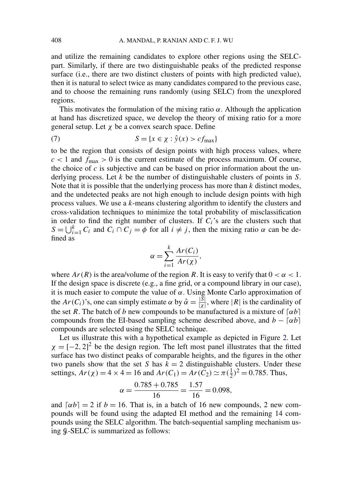and utilize the remaining candidates to explore other regions using the SELCpart. Similarly, if there are two distinguishable peaks of the predicted response surface (i.e., there are two distinct clusters of points with high predicted value), then it is natural to select twice as many candidates compared to the previous case, and to choose the remaining runs randomly (using SELC) from the unexplored regions.

This motivates the formulation of the mixing ratio  $\alpha$ . Although the application at hand has discretized space, we develop the theory of mixing ratio for a more general setup. Let  $\chi$  be a convex search space. Define

(7) 
$$
S = \{x \in \chi : \hat{y}(x) > cf_{\max}\}\
$$

to be the region that consists of design points with high process values, where  $c < 1$  and  $f_{\text{max}} > 0$  is the current estimate of the process maximum. Of course, the choice of  $c$  is subjective and can be based on prior information about the underlying process. Let  $k$  be the number of distinguishable clusters of points in  $S$ . Note that it is possible that the underlying process has more than  $k$  distinct modes, and the undetected peaks are not high enough to include design points with high process values. We use a k-means clustering algorithm to identify the clusters and cross-validation techniques to minimize the total probability of misclassification in order to find the right number of clusters. If  $C_i$ 's are the clusters such that  $S = \bigcup_{i=1}^{k} C_i$  and  $C_i \cap C_j = \phi$  for all  $i \neq j$ , then the mixing ratio  $\alpha$  can be defined as

$$
\alpha = \sum_{i=1}^{k} \frac{Ar(C_i)}{Ar(\chi)},
$$

where  $Ar(R)$  is the area/volume of the region R. It is easy to verify that  $0 < \alpha < 1$ . If the design space is discrete (e.g., a fine grid, or a compound library in our case), it is much easier to compute the value of  $\alpha$ . Using Monte Carlo approximation of the  $Ar(C_i)$ 's, one can simply estimate  $\alpha$  by  $\hat{\alpha} = \frac{|S|}{|S|}$  $\frac{|\mathcal{S}|}{|\mathcal{X}|}$ , where  $|\mathcal{R}|$  is the cardinality of the set R. The batch of b new compounds to be manufactured is a mixture of  $\lceil \alpha b \rceil$ compounds from the EI-based sampling scheme described above, and  $b - [\alpha b]$ compounds are selected using the SELC technique.

Let us illustrate this with a hypothetical example as depicted in Figure 2. Let  $\chi = [-2, 2]^2$  be the design region. The left most panel illustrates that the fitted surface has two distinct peaks of comparable heights, and the figures in the other two panels show that the set S has  $k = 2$  distinguishable clusters. Under these settings,  $Ar(\chi) = 4 \times 4 = 16$  and  $Ar(C_1) = Ar(\tilde{C}_2) \simeq \pi(\frac{1}{2})^2 = 0.785$ . Thus,

$$
\alpha = \frac{0.785 + 0.785}{16} = \frac{1.57}{16} = 0.098,
$$

and  $\lceil \alpha b \rceil = 2$  if  $b = 16$ . That is, in a batch of 16 new compounds, 2 new compounds will be found using the adapted EI method and the remaining 14 compounds using the SELC algorithm. The batch-sequential sampling mechanism using  $\frac{6}{5}$ -SELC is summarized as follows: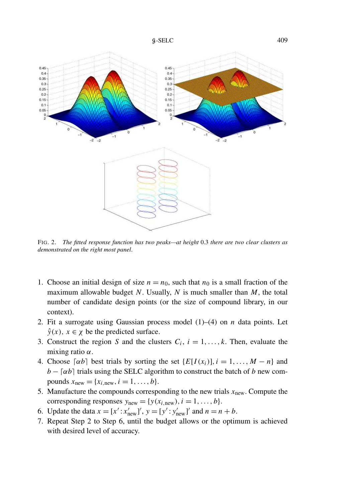



FIG. 2. *The fitted response function has two peaks—at height* 0.3 *there are two clear clusters as demonstrated on the right most panel*.

- 1. Choose an initial design of size  $n = n_0$ , such that  $n_0$  is a small fraction of the maximum allowable budget  $N$ . Usually,  $N$  is much smaller than  $M$ , the total number of candidate design points (or the size of compound library, in our context).
- 2. Fit a surrogate using Gaussian process model  $(1)$ – $(4)$  on *n* data points. Let  $\hat{y}(x)$ ,  $x \in \chi$  be the predicted surface.
- 3. Construct the region S and the clusters  $C_i$ ,  $i = 1, \ldots, k$ . Then, evaluate the mixing ratio  $\alpha$ .
- 4. Choose  $\lceil \alpha b \rceil$  best trials by sorting the set  $\{E[I(x_i)], i = 1, \ldots, M n\}$  and  $b - \lceil \alpha b \rceil$  trials using the SELC algorithm to construct the batch of b new compounds  $x_{\text{new}} = \{x_{i,\text{new}}, i = 1, ..., b\}.$
- 5. Manufacture the compounds corresponding to the new trials  $x<sub>new</sub>$ . Compute the corresponding responses  $y_{new} = \{y(x_{i,new}), i = 1, ..., b\}.$
- 6. Update the data  $x = [x' : x'_{\text{new}}]'$ ,  $y = [y' : y'_{\text{new}}]'$  and  $n = n + b$ .
- 7. Repeat Step 2 to Step 6, until the budget allows or the optimum is achieved with desired level of accuracy.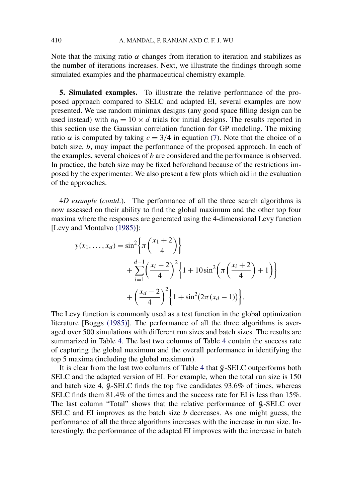Note that the mixing ratio  $\alpha$  changes from iteration to iteration and stabilizes as the number of iterations increases. Next, we illustrate the findings through some simulated examples and the pharmaceutical chemistry example.

**5. Simulated examples.** To illustrate the relative performance of the proposed approach compared to SELC and adapted EI, several examples are now presented. We use random minimax designs (any good space filling design can be used instead) with  $n_0 = 10 \times d$  trials for initial designs. The results reported in this section use the Gaussian correlation function for GP modeling. The mixing ratio  $\alpha$  is computed by taking  $c = 3/4$  in equation (7). Note that the choice of a batch size,  $b$ , may impact the performance of the proposed approach. In each of the examples, several choices of b are considered and the performance is observed. In practice, the batch size may be fixed beforehand because of the restrictions imposed by the experimenter. We also present a few plots which aid in the evaluation of the approaches.

4*D example* (*contd*.). The performance of all the three search algorithms is now assessed on their ability to find the global maximum and the other top four maxima where the responses are generated using the 4-dimensional Levy function [Levy and Montalvo (1985)]:

$$
y(x_1,...,x_d) = \sin^2\left\{\pi\left(\frac{x_1+2}{4}\right)\right\}
$$
  
+ 
$$
\sum_{i=1}^{d-1} \left(\frac{x_i-2}{4}\right)^2 \left\{1 + 10\sin^2\left(\pi\left(\frac{x_i+2}{4}\right) + 1\right)\right\}
$$
  
+ 
$$
\left(\frac{x_d-2}{4}\right)^2 \left\{1 + \sin^2(2\pi(x_d-1))\right\}.
$$

The Levy function is commonly used as a test function in the global optimization literature [Boggs (1985)]. The performance of all the three algorithms is averaged over 500 simulations with different run sizes and batch sizes. The results are summarized in Table 4. The last two columns of Table 4 contain the success rate of capturing the global maximum and the overall performance in identifying the top 5 maxima (including the global maximum).

It is clear from the last two columns of Table 4 that  $\beta$ -SELC outperforms both SELC and the adapted version of EI. For example, when the total run size is 150 and batch size 4,  $\beta$ -SELC finds the top five candidates 93.6% of times, whereas SELC finds them 81.4% of the times and the success rate for EI is less than 15%. The last column "Total" shows that the relative performance of  $\mathcal{G}\text{-}SELECT$  over SELC and EI improves as the batch size  $b$  decreases. As one might guess, the performance of all the three algorithms increases with the increase in run size. Interestingly, the performance of the adapted EI improves with the increase in batch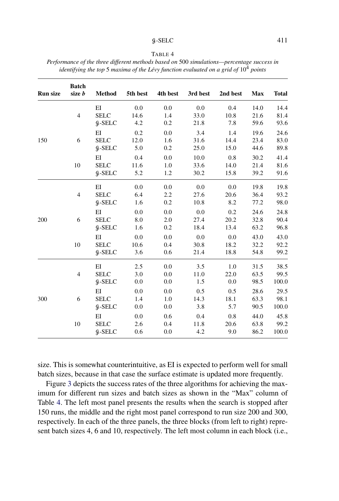#### $\beta$ -SELC 411

| н |  |
|---|--|
|---|--|

*Performance of the three different methods based on* 500 *simulations—percentage success in identifying the top* 5 *maxima of the Lévy function evaluated on a grid of* 10<sup>4</sup> *points*

| <b>Run size</b> | <b>Batch</b><br>size b | <b>Method</b>             | 5th best    | 4th best   | 3rd best     | 2nd best     | <b>Max</b>   | <b>Total</b> |
|-----------------|------------------------|---------------------------|-------------|------------|--------------|--------------|--------------|--------------|
|                 | $\overline{4}$         | EI<br><b>SELC</b>         | 0.0<br>14.6 | 0.0<br>1.4 | 0.0<br>33.0  | 0.4<br>10.8  | 14.0<br>21.6 | 14.4<br>81.4 |
|                 |                        | $$-SELECT$                | 4.2         | 0.2        | 21.8         | 7.8          | 59.6         | 93.6         |
|                 |                        | EI                        | 0.2         | 0.0        | 3.4          | 1.4          | 19.6         | 24.6         |
| 150             | 6                      | <b>SELC</b>               | 12.0        | 1.6        | 31.6         | 14.4         | 23.4         | 83.0         |
|                 |                        | $$-SELECT$                | 5.0         | 0.2        | 25.0         | 15.0         | 44.6         | 89.8         |
|                 |                        | EI                        | 0.4         | 0.0        | 10.0         | 0.8          | 30.2         | 41.4         |
|                 | 10                     | <b>SELC</b><br>$$-SELECT$ | 11.6<br>5.2 | 1.0<br>1.2 | 33.6<br>30.2 | 14.0<br>15.8 | 21.4<br>39.2 | 81.6<br>91.6 |
|                 |                        | EI                        | 0.0         | 0.0        | 0.0          | 0.0          | 19.8         | 19.8         |
|                 | $\overline{4}$         | <b>SELC</b>               | 6.4         | 2.2        | 27.6         | 20.6         | 36.4         | 93.2         |
|                 |                        | $\mathcal G$ -SELC        | 1.6         | 0.2        | 10.8         | 8.2          | 77.2         | 98.0         |
|                 |                        | EI                        | 0.0         | 0.0        | 0.0          | 0.2          | 24.6         | 24.8         |
| 200             | 6                      | <b>SELC</b>               | 8.0         | 2.0        | 27.4         | 20.2         | 32.8         | 90.4         |
|                 |                        | $$-SELECT$                | 1.6         | 0.2        | 18.4         | 13.4         | 63.2         | 96.8         |
|                 |                        | EI                        | 0.0         | 0.0        | 0.0          | 0.0          | 43.0         | 43.0         |
|                 | 10                     | <b>SELC</b>               | 10.6        | 0.4        | 30.8         | 18.2         | 32.2         | 92.2         |
|                 |                        | $$-SELECT$                | 3.6         | 0.6        | 21.4         | 18.8         | 54.8         | 99.2         |
|                 |                        | EI                        | 2.5         | 0.0        | 3.5          | 1.0          | 31.5         | 38.5         |
|                 | $\overline{4}$         | <b>SELC</b>               | 3.0         | 0.0        | 11.0         | 22.0         | 63.5         | 99.5         |
|                 |                        | $$-SELECT$                | 0.0         | 0.0        | 1.5          | 0.0          | 98.5         | 100.0        |
|                 |                        | EI                        | 0.0         | 0.0        | 0.5          | 0.5          | 28.6         | 29.5         |
| 300             | 6                      | <b>SELC</b>               | 1.4         | 1.0        | 14.3         | 18.1         | 63.3         | 98.1         |
|                 |                        | $9 - SELC$                | 0.0         | 0.0        | 3.8          | 5.7          | 90.5         | 100.0        |
|                 |                        | EI                        | 0.0         | 0.6        | 0.4          | 0.8          | 44.0         | 45.8         |
|                 | 10                     | <b>SELC</b>               | 2.6         | 0.4        | 11.8         | 20.6         | 63.8         | 99.2         |
|                 |                        | $$-SELECT$                | 0.6         | 0.0        | 4.2          | 9.0          | 86.2         | 100.0        |

size. This is somewhat counterintuitive, as EI is expected to perform well for small batch sizes, because in that case the surface estimate is updated more frequently.

Figure 3 depicts the success rates of the three algorithms for achieving the maximum for different run sizes and batch sizes as shown in the "Max" column of Table 4. The left most panel presents the results when the search is stopped after 150 runs, the middle and the right most panel correspond to run size 200 and 300, respectively. In each of the three panels, the three blocks (from left to right) represent batch sizes 4, 6 and 10, respectively. The left most column in each block (i.e.,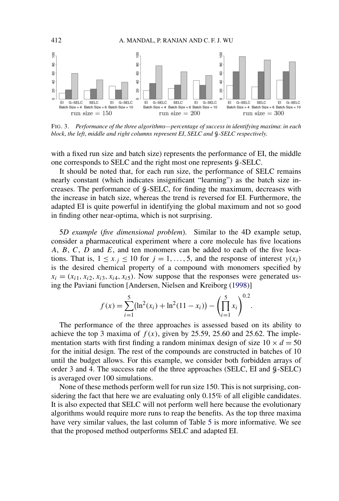

FIG. 3. *Performance of the three algorithms—percentage of success in identifying maxima*: *in each block*, *the left*, *middle and right columns represent EI*, *SELC and* G*-SELC respectively*.

with a fixed run size and batch size) represents the performance of EI, the middle one corresponds to SELC and the right most one represents  $\beta$ -SELC.

It should be noted that, for each run size, the performance of SELC remains nearly constant (which indicates insignificant "learning") as the batch size increases. The performance of G-SELC, for finding the maximum, decreases with the increase in batch size, whereas the trend is reversed for EI. Furthermore, the adapted EI is quite powerful in identifying the global maximum and not so good in finding other near-optima, which is not surprising.

5*D example* (*five dimensional problem*). Similar to the 4D example setup, consider a pharmaceutical experiment where a core molecule has five locations A, B, C, D and E, and ten monomers can be added to each of the five locations. That is,  $1 \le x, j \le 10$  for  $j = 1, ..., 5$ , and the response of interest  $y(x_i)$ is the desired chemical property of a compound with monomers specified by  $x_i = (x_{i1}, x_{i2}, x_{i3}, x_{i4}, x_{i5})$ . Now suppose that the responses were generated using the Paviani function [Andersen, Nielsen and Kreiborg (1998)]

$$
f(x) = \sum_{i=1}^{5} (\ln^2(x_i) + \ln^2(11 - x_i)) - \left(\prod_{i=1}^{5} x_i\right)^{0.2}.
$$

The performance of the three approaches is assessed based on its ability to achieve the top 3 maxima of  $f(x)$ , given by 25.59, 25.60 and 25.62. The implementation starts with first finding a random minimax design of size  $10 \times d = 50$ for the initial design. The rest of the compounds are constructed in batches of 10 until the budget allows. For this example, we consider both forbidden arrays of order 3 and 4. The success rate of the three approaches (SELC, EI and  $\beta$ -SELC) is averaged over 100 simulations.

None of these methods perform well for run size 150. This is not surprising, considering the fact that here we are evaluating only 0.15% of all eligible candidates. It is also expected that SELC will not perform well here because the evolutionary algorithms would require more runs to reap the benefits. As the top three maxima have very similar values, the last column of Table 5 is more informative. We see that the proposed method outperforms SELC and adapted EI.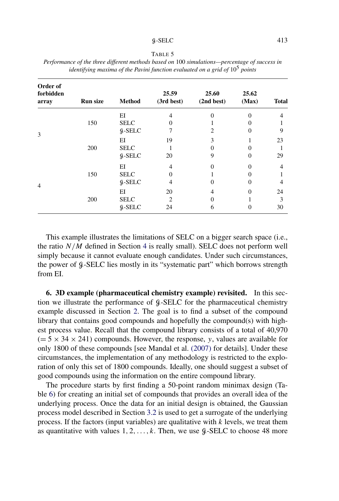| n. |  |
|----|--|
|----|--|

| Order of<br>forbidden<br>array | <b>Run size</b> | <b>Method</b> | 25.59<br>(3rd best)         | 25.60<br>(2nd best) | 25.62<br>(Max) | <b>Total</b>   |
|--------------------------------|-----------------|---------------|-----------------------------|---------------------|----------------|----------------|
|                                |                 | ΕI            | $\overline{4}$              | $\Omega$            | $\theta$       | $\overline{4}$ |
|                                | 150             | <b>SELC</b>   | 0                           |                     |                |                |
| 3                              |                 | $9 - SELC$    | 7                           | 2                   | 0              | 9              |
|                                |                 | ΕI            | 19                          | 3                   |                | 23             |
|                                | 200             | <b>SELC</b>   |                             | $\Omega$            | 0              |                |
|                                |                 | $$-SELECT$    | 20                          | 9                   | $\Omega$       | 29             |
|                                |                 | ΕI            | 4                           |                     | 0              | $\overline{4}$ |
|                                | 150             | <b>SELC</b>   | O                           |                     |                |                |
| $\overline{4}$                 |                 | $$-SELECT$    | 4                           | 0                   | 0              | $\overline{4}$ |
|                                |                 | ΕI            | 20                          | 4                   | $\Omega$       | 24             |
|                                | 200             | <b>SELC</b>   | $\mathcal{D}_{\mathcal{L}}$ | 0                   |                | 3              |
|                                |                 | $9 - SELC$    | 24                          | 6                   | 0              | 30             |

*Performance of the three different methods based on* 100 *simulations—percentage of success in identifying maxima of the Pavini function evaluated on a grid of* 10<sup>5</sup> *points*

This example illustrates the limitations of SELC on a bigger search space (i.e., the ratio  $N/M$  defined in Section 4 is really small). SELC does not perform well simply because it cannot evaluate enough candidates. Under such circumstances, the power of  $\mathcal{G}-\text{SELECT}$  lies mostly in its "systematic part" which borrows strength from EI.

**6. 3D example (pharmaceutical chemistry example) revisited.** In this section we illustrate the performance of G-SELC for the pharmaceutical chemistry example discussed in Section 2. The goal is to find a subset of the compound library that contains good compounds and hopefully the compound(s) with highest process value. Recall that the compound library consists of a total of 40,970  $(= 5 \times 34 \times 241)$  compounds. However, the response, y, values are available for only 1800 of these compounds [see Mandal et al. (2007) for details]. Under these circumstances, the implementation of any methodology is restricted to the exploration of only this set of 1800 compounds. Ideally, one should suggest a subset of good compounds using the information on the entire compound library.

The procedure starts by first finding a 50-point random minimax design (Table 6) for creating an initial set of compounds that provides an overall idea of the underlying process. Once the data for an initial design is obtained, the Gaussian process model described in Section 3.2 is used to get a surrogate of the underlying process. If the factors (input variables) are qualitative with  $k$  levels, we treat them as quantitative with values  $1, 2, \ldots, k$ . Then, we use  $\mathcal{G}\text{-}SELECT$  to choose 48 more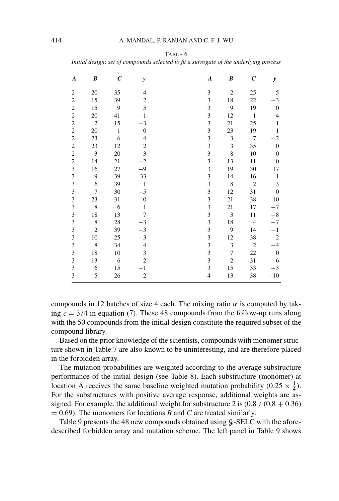|                  | тини иезідн. зег ој сотроиниз зегестей ю ји и зигнодите ој те иниетуту рносезз |                  |                         |  |                |                  |                  |                  |
|------------------|--------------------------------------------------------------------------------|------------------|-------------------------|--|----------------|------------------|------------------|------------------|
| $\boldsymbol{A}$ | B                                                                              | $\boldsymbol{C}$ | y                       |  | $\pmb{A}$      | B                | $\boldsymbol{C}$ | $\mathbf{y}$     |
| $\overline{c}$   | 20                                                                             | 35               | $\overline{4}$          |  | $\mathfrak{Z}$ | $\mathbf{2}$     | 25               | 5                |
| $\sqrt{2}$       | 15                                                                             | 39               | $\overline{\mathbf{c}}$ |  | 3              | 18               | 22               | $-3$             |
| $\boldsymbol{2}$ | 15                                                                             | 9                | 5                       |  | $\mathfrak{Z}$ | 9                | 19               | $\mathbf{0}$     |
| $\overline{c}$   | $20\,$                                                                         | 41               | $-1$                    |  | 3              | 12               | $\,1\,$          | $-4$             |
| $\overline{c}$   | $\overline{2}$                                                                 | 15               | $-3$                    |  | 3              | 21               | 25               | $\mathbf{1}$     |
| $\boldsymbol{2}$ | $20\,$                                                                         | $\mathbf 1$      | $\boldsymbol{0}$        |  | 3              | 23               | 19               | $-1$             |
| $\overline{c}$   | 23                                                                             | 6                | $\overline{4}$          |  | 3              | $\mathfrak{Z}$   | 7                | $-2$             |
| $\overline{c}$   | 23                                                                             | 12               | $\overline{c}$          |  | 3              | 3                | 35               | $\boldsymbol{0}$ |
| $\overline{c}$   | $\mathfrak 3$                                                                  | 20               | $-3$                    |  | 3              | $\,$ 8 $\,$      | 10               | $\boldsymbol{0}$ |
| $\overline{c}$   | 14                                                                             | 21               | $-2$                    |  | 3              | 13               | 11               | $\boldsymbol{0}$ |
| 3                | 16                                                                             | 27               | $-9$                    |  | 3              | 19               | 30               | 17               |
| 3                | 9                                                                              | 39               | 33                      |  | 3              | 14               | 16               | $\,1\,$          |
| 3                | 6                                                                              | 39               | $\mathbf{1}$            |  | 3              | 8                | $\overline{2}$   | 3                |
| 3                | 7                                                                              | 30               | $-5$                    |  | 3              | 12               | 31               | $\mathbf{0}$     |
| 3                | 23                                                                             | 31               | $\boldsymbol{0}$        |  | 3              | 21               | 38               | 10               |
| 3                | $\,$ 8 $\,$                                                                    | 6                | $\,1\,$                 |  | $\mathfrak{Z}$ | 21               | 17               | $-7$             |
| 3                | 18                                                                             | 13               | 7                       |  | 3              | 3                | 11               | $-8\,$           |
| 3                | $\,$ 8 $\,$                                                                    | 28               | $-3$                    |  | 3              | 18               | $\overline{4}$   | $-7$             |
| 3                | $\mathbf{2}$                                                                   | 39               | $-3$                    |  | 3              | 9                | 14               | $-1$             |
| 3                | 10                                                                             | 25               | $-3$                    |  | 3              | 12               | 38               | $-2$             |
| 3                | $\,$ 8 $\,$                                                                    | 34               | $\overline{4}$          |  | 3              | $\mathfrak{Z}$   | $\overline{2}$   | $-4$             |
| 3                | 18                                                                             | 10               | 3                       |  | 3              | $\overline{7}$   | 22               | $\boldsymbol{0}$ |
| 3                | 13                                                                             | 6                | $\overline{2}$          |  | 3              | $\boldsymbol{2}$ | 31               | $-6$             |
| 3                | 6                                                                              | 15               | $^{-1}$                 |  | 3              | 15               | 33               | $-3$             |
| 3                | 5                                                                              | 26               | $-2$                    |  | $\overline{4}$ | 13               | 38               | $-10$            |

TABLE 6

*Initial design*: *set of compounds selected to fit a surrogate of the underlying process*

compounds in 12 batches of size 4 each. The mixing ratio  $\alpha$  is computed by taking  $c = 3/4$  in equation (7). These 48 compounds from the follow-up runs along with the 50 compounds from the initial design constitute the required subset of the compound library.

Based on the prior knowledge of the scientists, compounds with monomer structure shown in Table 7 are also known to be uninteresting, and are therefore placed in the forbidden array.

The mutation probabilities are weighted according to the average substructure performance of the initial design (see Table 8). Each substructure (monomer) at location A receives the same baseline weighted mutation probability (0.25  $\times \frac{1}{4}$  $\frac{1}{4}$ ). For the substructures with positive average response, additional weights are assigned. For example, the additional weight for substructure 2 is  $(0.8 / (0.8 + 0.36))$  $= 0.69$ ). The monomers for locations *B* and *C* are treated similarly.

Table 9 presents the 48 new compounds obtained using  $\beta$ -SELC with the aforedescribed forbidden array and mutation scheme. The left panel in Table 9 shows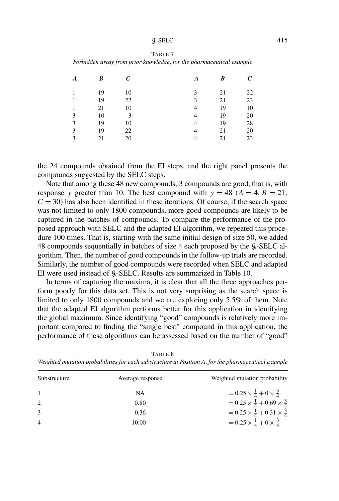### $g-\text{SELECT}$  415

| A | B  | $\mathcal{C}_{0}$ | A | B  | $\mathcal{C}_{\mathcal{C}}$ |
|---|----|-------------------|---|----|-----------------------------|
| 1 | 19 | 10                | 3 | 21 | 22                          |
| 1 | 19 | 22                | 3 | 21 | 23                          |
| 1 | 21 | 10                | 4 | 19 | 10                          |
| 3 | 10 | 3                 | 4 | 19 | 20                          |
| 3 | 19 | 10                | 4 | 19 | 28                          |
| 3 | 19 | 22                | 4 | 21 | 20                          |
| 3 | 21 | 20                | 4 | 21 | 23                          |

TABLE 7 *Forbidden array from prior knowledge*, *for the pharmaceutical example*

the 24 compounds obtained from the EI steps, and the right panel presents the compounds suggested by the SELC steps.

Note that among these 48 new compounds, 3 compounds are good, that is, with response y greater than 10. The best compound with  $y = 48$  ( $A = 4, B = 21$ ,  $C = 30$ ) has also been identified in these iterations. Of course, if the search space was not limited to only 1800 compounds, more good compounds are likely to be captured in the batches of compounds. To compare the performance of the proposed approach with SELC and the adapted EI algorithm, we repeated this procedure 100 times. That is, starting with the same initial design of size 50, we added 48 compounds sequentially in batches of size 4 each proposed by the G-SELC algorithm. Then, the number of good compounds in the follow-up trials are recorded. Similarly, the number of good compounds were recorded when SELC and adapted EI were used instead of G-SELC. Results are summarized in Table 10.

In terms of capturing the maxima, it is clear that all the three approaches perform poorly for this data set. This is not very surprising as the search space is limited to only 1800 compounds and we are exploring only 5.5% of them. Note that the adapted EI algorithm performs better for this application in identifying the global maximum. Since identifying "good" compounds is relatively more important compared to finding the "single best" compound in this application, the performance of these algorithms can be assessed based on the number of "good"

| Substructure | Average response | Weighted mutation probability                         |
|--------------|------------------|-------------------------------------------------------|
|              | NA               | $= 0.25 \times \frac{1}{4} + 0 \times \frac{3}{4}$    |
| 2            | 0.80             | $= 0.25 \times \frac{1}{4} + 0.69 \times \frac{3}{4}$ |
|              | 0.36             | $= 0.25 \times \frac{1}{4} + 0.31 \times \frac{3}{4}$ |
| 4            | $-10.00$         | $= 0.25 \times \frac{1}{4} + 0 \times \frac{3}{4}$    |

TABLE 8

*Weighted mutation probabilities for each substructure at Position A*, *for the pharmaceutical example*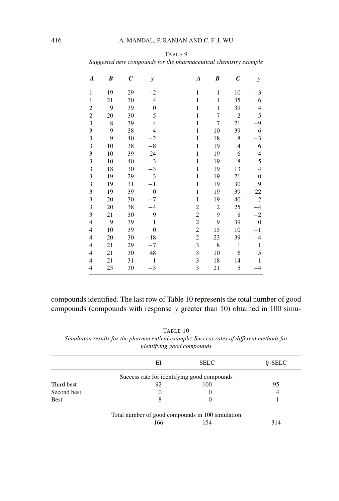| A                        | B           | $\boldsymbol{C}$ | y                           | $\boldsymbol{A}$        | B              | $\boldsymbol{C}$ | y                        |
|--------------------------|-------------|------------------|-----------------------------|-------------------------|----------------|------------------|--------------------------|
| $\mathbf{1}$             | 19          | 29               | $^{-2}$                     | $\mathbf 1$             | $\mathbf 1$    | 10               | $-3$                     |
| $\mathbf 1$              | 21          | 30               | $\overline{4}$              | $\mathbf{1}$            | $\mathbf{1}$   | 35               | 6                        |
| $\overline{\mathbf{c}}$  | 9           | 39               | $\boldsymbol{0}$            | $\mathbf{1}$            | $\,1$          | 39               | $\overline{\mathcal{L}}$ |
| $\overline{c}$           | 20          | 30               | 5                           | $\mathbf 1$             | 7              | $\overline{c}$   | $-5$                     |
| 3                        | $\,$ 8 $\,$ | 39               | $\overline{\mathbf{4}}$     | $\mathbf 1$             | 7              | 21               | $-9$                     |
| 3                        | 9           | 38               | $-4$                        | $\mathbf{1}$            | 10             | 39               | 6                        |
| 3                        | 9           | 40               | $-2$                        | $\mathbf{1}$            | 18             | 8                | $-3$                     |
| 3                        | 10          | 38               | $-8$                        | $\mathbf{1}$            | 19             | 4                | 6                        |
| 3                        | 10          | 39               | 24                          | $\mathbf{1}$            | 19             | 6                | $\overline{4}$           |
| 3                        | 10          | 40               | $\ensuremath{\mathfrak{Z}}$ | $\mathbf{1}$            | 19             | 8                | 5                        |
| 3                        | 18          | 30               | $-3$                        | $\mathbf{1}$            | 19             | 13               | $\overline{\mathcal{L}}$ |
| 3                        | 19          | 29               | 3                           | $\mathbf{1}$            | 19             | 21               | $\boldsymbol{0}$         |
| 3                        | 19          | 31               | $-1$                        | $\mathbf{1}$            | 19             | 30               | 9                        |
| 3                        | 19          | 39               | $\boldsymbol{0}$            | $\mathbf{1}$            | 19             | 39               | 22                       |
| 3                        | 20          | 30               | $-7$                        | $\mathbf 1$             | 19             | 40               | $\overline{2}$           |
| 3                        | 20          | 38               | $-4$                        | $\overline{c}$          | $\overline{c}$ | 25               | $-4$                     |
| 3                        | 21          | 30               | 9                           | $\overline{c}$          | 9              | $\bf 8$          | $^{-2}$                  |
| $\overline{4}$           | 9           | 39               | $\mathbf{1}$                | $\overline{c}$          | 9              | 39               | $\boldsymbol{0}$         |
| 4                        | 10          | 39               | $\boldsymbol{0}$            | $\overline{\mathbf{c}}$ | 15             | 10               | $-1$                     |
| $\overline{\mathcal{L}}$ | 20          | 30               | $-18$                       | $\overline{c}$          | 23             | 39               | $-4$                     |
| 4                        | 21          | 29               | $-7$                        | 3                       | $\,$ 8 $\,$    | $\mathbf{1}$     | $\mathbf 1$              |
| 4                        | 21          | 30               | 48                          | $\mathfrak{Z}$          | 10             | 6                | 5                        |
| $\overline{4}$           | 21          | 31               | $\mathbf{1}$                | 3                       | 18             | 14               | $\,1$                    |
| 4                        | 23          | 30               | $^{-3}$                     | 3                       | 21             | 5                | $-4$                     |
|                          |             |                  |                             |                         |                |                  |                          |

TABLE 9 *Suggested new compounds for the pharmaceutical chemistry example*

compounds identified. The last row of Table 10 represents the total number of good compounds (compounds with response y greater than 10) obtained in 100 simu-

|             | EI                                               | <b>SELC</b> | $\frac{9}{2}$ -SELC |
|-------------|--------------------------------------------------|-------------|---------------------|
|             | Success rate for identifying good compounds      |             |                     |
| Third best  | 92                                               | 100         | 95                  |
| Second best | $\theta$                                         |             | 4                   |
| Best        | 8                                                |             |                     |
|             | Total number of good compounds in 100 simulation |             |                     |
|             | 166                                              | 154         | 314                 |

TABLE 10 *Simulation results for the pharmaceutical example*: *Success rates of different methods for identifying good compounds*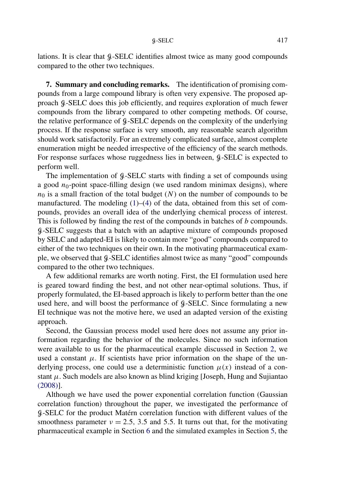lations. It is clear that  $\frac{6}{9}$ -SELC identifies almost twice as many good compounds compared to the other two techniques.

**7. Summary and concluding remarks.** The identification of promising compounds from a large compound library is often very expensive. The proposed approach G-SELC does this job efficiently, and requires exploration of much fewer compounds from the library compared to other competing methods. Of course, the relative performance of  $\mathcal{G}-\text{SELECT}$  depends on the complexity of the underlying process. If the response surface is very smooth, any reasonable search algorithm should work satisfactorily. For an extremely complicated surface, almost complete enumeration might be needed irrespective of the efficiency of the search methods. For response surfaces whose ruggedness lies in between,  $\mathcal{G}\text{-}SELC$  is expected to perform well.

The implementation of  $\beta$ -SELC starts with finding a set of compounds using a good  $n_0$ -point space-filling design (we used random minimax designs), where  $n_0$  is a small fraction of the total budget (N) on the number of compounds to be manufactured. The modeling  $(1)$ – $(4)$  of the data, obtained from this set of compounds, provides an overall idea of the underlying chemical process of interest. This is followed by finding the rest of the compounds in batches of b compounds. G-SELC suggests that a batch with an adaptive mixture of compounds proposed by SELC and adapted-EI is likely to contain more "good" compounds compared to either of the two techniques on their own. In the motivating pharmaceutical example, we observed that  $\beta$ -SELC identifies almost twice as many "good" compounds compared to the other two techniques.

A few additional remarks are worth noting. First, the EI formulation used here is geared toward finding the best, and not other near-optimal solutions. Thus, if properly formulated, the EI-based approach is likely to perform better than the one used here, and will boost the performance of  $\beta$ -SELC. Since formulating a new EI technique was not the motive here, we used an adapted version of the existing approach.

Second, the Gaussian process model used here does not assume any prior information regarding the behavior of the molecules. Since no such information were available to us for the pharmaceutical example discussed in Section 2, we used a constant  $\mu$ . If scientists have prior information on the shape of the underlying process, one could use a deterministic function  $\mu(x)$  instead of a constant  $\mu$ . Such models are also known as blind kriging [Joseph, Hung and Sujiantao (2008)].

Although we have used the power exponential correlation function (Gaussian correlation function) throughout the paper, we investigated the performance of G-SELC for the product Matérn correlation function with different values of the smoothness parameter  $v = 2.5$ , 3.5 and 5.5. It turns out that, for the motivating pharmaceutical example in Section 6 and the simulated examples in Section 5, the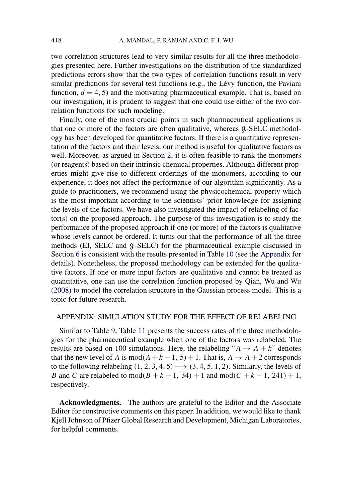two correlation structures lead to very similar results for all the three methodologies presented here. Further investigations on the distribution of the standardized predictions errors show that the two types of correlation functions result in very similar predictions for several test functions (e.g., the Lévy function, the Paviani function,  $d = 4, 5$ ) and the motivating pharmaceutical example. That is, based on our investigation, it is prudent to suggest that one could use either of the two correlation functions for such modeling.

Finally, one of the most crucial points in such pharmaceutical applications is that one or more of the factors are often qualitative, whereas  $\mathcal{G}\text{-}SELECT$  methodology has been developed for quantitative factors. If there is a quantitative representation of the factors and their levels, our method is useful for qualitative factors as well. Moreover, as argued in Section 2, it is often feasible to rank the monomers (or reagents) based on their intrinsic chemical properties. Although different properties might give rise to different orderings of the monomers, according to our experience, it does not affect the performance of our algorithm significantly. As a guide to practitioners, we recommend using the physicochemical property which is the most important according to the scientists' prior knowledge for assigning the levels of the factors. We have also investigated the impact of relabeling of factor(s) on the proposed approach. The purpose of this investigation is to study the performance of the proposed approach if one (or more) of the factors is qualitative whose levels cannot be ordered. It turns out that the performance of all the three methods (EI, SELC and  $\beta$ -SELC) for the pharmaceutical example discussed in Section 6 is consistent with the results presented in Table 10 (see the Appendix for details). Nonetheless, the proposed methodology can be extended for the qualitative factors. If one or more input factors are qualitative and cannot be treated as quantitative, one can use the correlation function proposed by Qian, Wu and Wu (2008) to model the correlation structure in the Gaussian process model. This is a topic for future research.

## APPENDIX: SIMULATION STUDY FOR THE EFFECT OF RELABELING

Similar to Table 9, Table 11 presents the success rates of the three methodologies for the pharmaceutical example when one of the factors was relabeled. The results are based on 100 simulations. Here, the relabeling " $A \rightarrow A + k$ " denotes that the new level of A is  $mod(A + k - 1, 5) + 1$ . That is,  $A \rightarrow A + 2$  corresponds to the following relabeling  $(1, 2, 3, 4, 5) \rightarrow (3, 4, 5, 1, 2)$ . Similarly, the levels of B and C are relabeled to  $mod(B + k - 1, 34) + 1$  and  $mod(C + k - 1, 241) + 1$ , respectively.

**Acknowledgments.** The authors are grateful to the Editor and the Associate Editor for constructive comments on this paper. In addition, we would like to thank Kjell Johnson of Pfizer Global Research and Development, Michigan Laboratories, for helpful comments.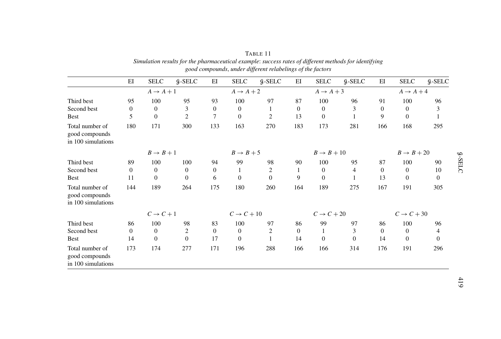|                                                         | rando, andor differente rendo energo of ano fuerorio |              |                |                        |                |                |                        |              |                  |                        |                  |              |
|---------------------------------------------------------|------------------------------------------------------|--------------|----------------|------------------------|----------------|----------------|------------------------|--------------|------------------|------------------------|------------------|--------------|
|                                                         | E                                                    | <b>SELC</b>  | $g$ -SELC      | ΕI                     | <b>SELC</b>    | $9 - SELC$     | EI                     | <b>SELC</b>  | $\n  9-SELECT\n$ | E                      | <b>SELC</b>      | $g$ -SELC    |
|                                                         | $A \rightarrow A + 1$                                |              |                | $A \rightarrow A + 2$  |                |                | $A \rightarrow A + 3$  |              |                  | $A \rightarrow A + 4$  |                  |              |
| Third best                                              | 95                                                   | 100          | 95             | 93                     | 100            | 97             | 87                     | 100          | 96               | 91                     | 100              | 96           |
| Second best                                             | $\boldsymbol{0}$                                     | $\mathbf{0}$ | 3              | $\overline{0}$         | $\overline{0}$ | 1              | $\Omega$               | $\mathbf{0}$ | 3                | $\mathbf{0}$           | $\boldsymbol{0}$ | 3            |
| <b>Best</b>                                             | 5                                                    | $\Omega$     | $\overline{2}$ | $\tau$                 | $\Omega$       | $\overline{2}$ | 13                     | $\Omega$     |                  | 9                      | $\theta$         |              |
| Total number of<br>good compounds<br>in 100 simulations | 180                                                  | 171          | 300            | 133                    | 163            | 270            | 183                    | 173          | 281              | 166                    | 168              | 295          |
|                                                         | $B \rightarrow B + 1$                                |              |                | $B \rightarrow B + 5$  |                |                | $B \rightarrow B + 10$ |              |                  | $B \rightarrow B + 20$ |                  |              |
| Third best                                              | 89                                                   | 100          | 100            | 94                     | 99             | 98             | 90                     | 100          | 95               | 87                     | 100              | 90           |
| Second best                                             | $\boldsymbol{0}$                                     | $\theta$     | $\overline{0}$ | $\overline{0}$         |                | 2              | 1                      | $\theta$     | 4                | $\Omega$               | $\mathbf{0}$     | 10           |
| <b>Best</b>                                             | 11                                                   | $\Omega$     | $\Omega$       | 6                      | $\Omega$       | $\Omega$       | 9                      | $\Omega$     |                  | 13                     | $\theta$         | $\mathbf{0}$ |
| Total number of<br>good compounds<br>in 100 simulations | 144                                                  | 189          | 264            | 175                    | 180            | 260            | 164                    | 189          | 275              | 167                    | 191              | 305          |
|                                                         | $C \rightarrow C + 1$                                |              |                | $C \rightarrow C + 10$ |                |                | $C \rightarrow C + 20$ |              |                  | $C \rightarrow C + 30$ |                  |              |
| Third best                                              | 86                                                   | 100          | 98             | 83                     | 100            | 97             | 86                     | 99           | 97               | 86                     | 100              | 96           |
| Second best                                             | $\theta$                                             | $\theta$     | $\overline{2}$ | $\overline{0}$         | $\overline{0}$ | 2              | $\mathbf{0}$           |              | 3                | $\Omega$               | $\mathbf{0}$     | 4            |
| <b>Best</b>                                             | 14                                                   | $\Omega$     | $\overline{0}$ | 17                     | $\overline{0}$ |                | 14                     | $\mathbf{0}$ | $\Omega$         | 14                     | $\mathbf{0}$     | $\mathbf{0}$ |
| Total number of<br>good compounds<br>in 100 simulations | 173                                                  | 174          | 277            | 171                    | 196            | 288            | 166                    | 166          | 314              | 176                    | 191              | 296          |

| TABLE 11                                                                                              |
|-------------------------------------------------------------------------------------------------------|
| Simulation results for the pharmaceutical example: success rates of different methods for identifying |
| good compounds, under different relabelings of the factors                                            |

G-SELC

419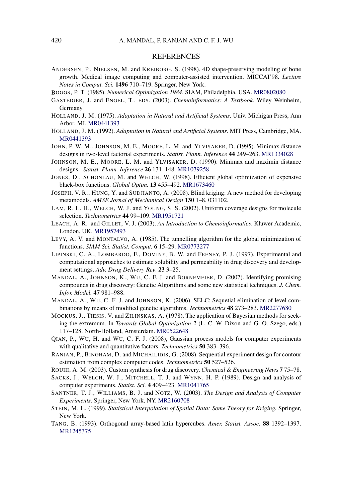## **REFERENCES**

- ANDERSEN, P., NIELSEN, M. and KREIBORG, S. (1998). 4D shape-preserving modeling of bone growth. Medical image computing and computer-assisted intervention. MICCAI'98. *Lecture Notes in Comput. Sci.* **1496** 710–719. Springer, New York.
- BOGGS, P. T. (1985). *Numerical Optimization 1984*. SIAM, Philadelphia, USA. MR0802080
- GASTEIGER, J. and ENGEL, T., EDS. (2003). *Chemoinformatics: A Textbook*. Wiley Weinheim, Germany.
- HOLLAND, J. M. (1975). *Adaptation in Natural and Artificial Systems*. Univ. Michigan Press, Ann Arbor, MI. MR0441393
- HOLLAND, J. M. (1992). *Adaptation in Natural and Artificial Systems*. MIT Press, Cambridge, MA. MR0441393
- JOHN, P. W. M., JOHNSON, M. E., MOORE, L. M. and YLVISAKER, D. (1995). Minimax distance designs in two-level factorial experiments. *Statist. Plann. Inference* **44** 249–263. MR1334028
- JOHNSON, M. E., MOORE, L. M. and YLVISAKER, D. (1990). Minimax and maximin distance designs. *Statist. Plann. Inference* **26** 131–148. MR1079258
- JONES, D., SCHONLAU, M. and WELCH, W. (1998). Efficient global optimization of expensive black-box functions. *Global Optim.* **13** 455–492. MR1673460
- JOSEPH, V. R., HUNG, Y. and SUDJIANTO, A. (2008). Blind kriging: A new method for developing metamodels. *AMSE Jornal of Mechanical Design* **130** 1–8, 031102.
- LAM, R. L. H., WELCH, W. J. and YOUNG, S. S. (2002). Uniform coverage designs for molecule selection. *Technometrics* **44** 99–109. MR1951721
- LEACH, A. R. and GILLET, V. J. (2003). *An Introduction to Chemoinformatics*. Kluwer Academic, London, UK. MR1957493
- LEVY, A. V. and MONTALVO, A. (1985). The tunnelling algorithm for the global minimization of functions. *SIAM Sci. Statist. Comput.* **6** 15–29. MR0773277
- LIPINSKI, C. A., LOMBARDO, F., DOMINY, B. W. and FEENEY, P. J. (1997). Experimental and computational approaches to estimate solubility and permeability in drug discovery and development settings. *Adv. Drug Delivery Rev*. **23** 3–25.
- MANDAL, A., JOHNSON, K., WU, C. F. J. and BORNEMEIER, D. (2007). Identifying promising compounds in drug discovery: Genetic Algorithms and some new statistical techniques. *J. Chem. Infor. Model.* **47** 981–988.
- MANDAL, A., WU, C. F. J. and JOHNSON, K. (2006). SELC: Sequetial elimination of level combinations by means of modified genetic algorithms. *Technometrics* **48** 273–283. MR2277680
- MOCKUS, J., TIESIS, V. and ZILINSKAS, A. (1978). The application of Bayesian methods for seeking the extremum. In *Towards Global Optimization 2* (L. C. W. Dixon and G. O. Szego, eds.) 117–128. North-Holland, Amsterdam. MR0522648
- QIAN, P., WU, H. and WU, C. F. J. (2008), Gaussian process models for computer experiments with qualitative and quantitative factors. *Technometrics* **50** 383–396.
- RANJAN, P., BINGHAM, D. and MICHAILIDIS, G. (2008). Sequential experiment design for contour estimation from complex computer codes. *Technometrics* **50** 527–526.
- ROUHI, A. M. (2003). Custom synthesis for drug discovery. *Chemical & Engineering News* **7** 75–78.
- SACKS, J., WELCH, W. J., MITCHELL, T. J. and WYNN, H. P. (1989). Design and analysis of computer experiments. *Statist. Sci.* **4** 409–423. MR1041765
- SANTNER, T. J., WILLIAMS, B. J. and NOTZ, W. (2003). *The Design and Analysis of Computer Experiments*. Springer, New York, NY. MR2160708
- STEIN, M. L. (1999). *Statistical Interpolation of Spatial Data: Some Theory for Kriging.* Springer, New York.
- TANG, B. (1993). Orthogonal array-based latin hypercubes. *Amer. Statist. Assoc.* **88** 1392–1397. MR1245375